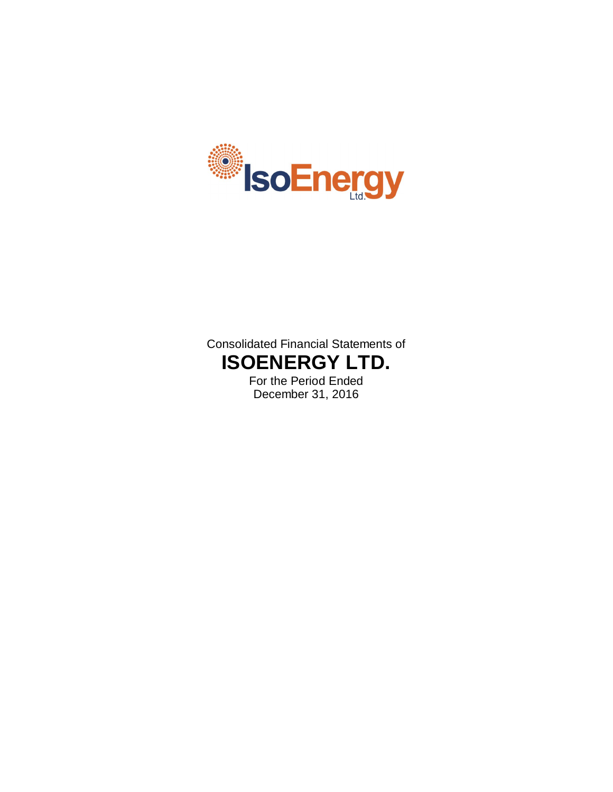

Consolidated Financial Statements of **ISOENERGY LTD.**

> For the Period Ended December 31, 2016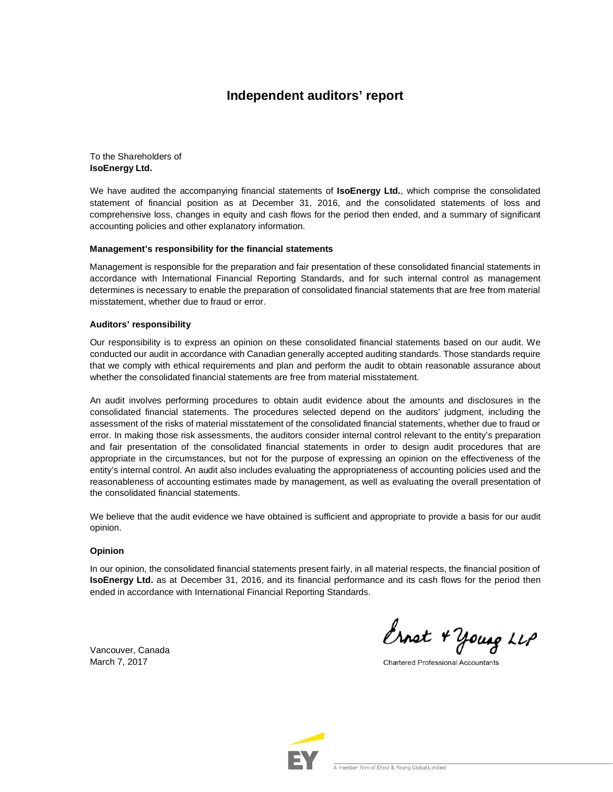# **Independent auditors' report**

To the Shareholders of **IsoEnergy Ltd.**

We have audited the accompanying financial statements of **IsoEnergy Ltd.**, which comprise the consolidated statement of financial position as at December 31, 2016, and the consolidated statements of loss and comprehensive loss, changes in equity and cash flows for the period then ended, and a summary of significant accounting policies and other explanatory information.

#### **Management's responsibility for the financial statements**

Management is responsible for the preparation and fair presentation of these consolidated financial statements in accordance with International Financial Reporting Standards, and for such internal control as management determines is necessary to enable the preparation of consolidated financial statements that are free from material misstatement, whether due to fraud or error.

#### **Auditors' responsibility**

Our responsibility is to express an opinion on these consolidated financial statements based on our audit. We conducted our audit in accordance with Canadian generally accepted auditing standards. Those standards require that we comply with ethical requirements and plan and perform the audit to obtain reasonable assurance about whether the consolidated financial statements are free from material misstatement.

An audit involves performing procedures to obtain audit evidence about the amounts and disclosures in the consolidated financial statements. The procedures selected depend on the auditors' judgment, including the assessment of the risks of material misstatement of the consolidated financial statements, whether due to fraud or error. In making those risk assessments, the auditors consider internal control relevant to the entity's preparation and fair presentation of the consolidated financial statements in order to design audit procedures that are appropriate in the circumstances, but not for the purpose of expressing an opinion on the effectiveness of the entity's internal control. An audit also includes evaluating the appropriateness of accounting policies used and the reasonableness of accounting estimates made by management, as well as evaluating the overall presentation of the consolidated financial statements.

We believe that the audit evidence we have obtained is sufficient and appropriate to provide a basis for our audit opinion.

#### **Opinion**

In our opinion, the consolidated financial statements present fairly, in all material respects, the financial position of **IsoEnergy Ltd.** as at December 31, 2016, and its financial performance and its cash flows for the period then ended in accordance with International Financial Reporting Standards.

Vancouver, Canada March 7, 2017

Ernst + Young LLP

Chartered Professional Accountants

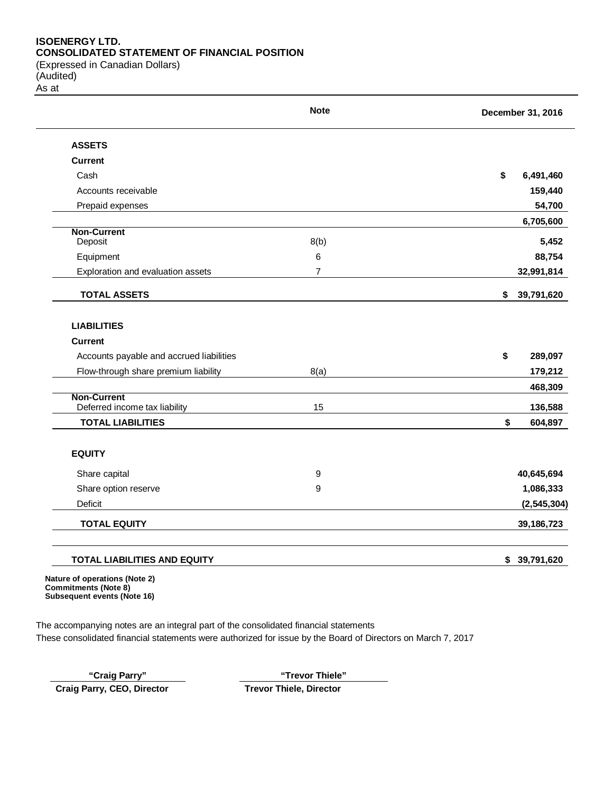(Expressed in Canadian Dollars) (Audited)

As at

|                                                     | <b>Note</b>      | December 31, 2016 |
|-----------------------------------------------------|------------------|-------------------|
| <b>ASSETS</b>                                       |                  |                   |
| <b>Current</b>                                      |                  |                   |
| Cash                                                |                  | 6,491,460<br>\$   |
| Accounts receivable                                 |                  | 159,440           |
| Prepaid expenses                                    |                  | 54,700            |
|                                                     |                  | 6,705,600         |
| <b>Non-Current</b><br>Deposit                       | 8(b)             | 5,452             |
| Equipment                                           | 6                | 88,754            |
| Exploration and evaluation assets                   | 7                | 32,991,814        |
| <b>TOTAL ASSETS</b>                                 |                  | \$<br>39,791,620  |
| <b>LIABILITIES</b>                                  |                  |                   |
| <b>Current</b>                                      |                  |                   |
| Accounts payable and accrued liabilities            |                  | \$<br>289,097     |
| Flow-through share premium liability                | 8(a)             | 179,212           |
|                                                     |                  | 468,309           |
| <b>Non-Current</b><br>Deferred income tax liability | 15               | 136,588           |
| <b>TOTAL LIABILITIES</b>                            |                  | \$<br>604,897     |
| <b>EQUITY</b>                                       |                  |                   |
| Share capital                                       | $\boldsymbol{9}$ | 40,645,694        |
| Share option reserve                                | 9                | 1,086,333         |
| Deficit                                             |                  | (2, 545, 304)     |
| <b>TOTAL EQUITY</b>                                 |                  | 39,186,723        |
| <b>TOTAL LIABILITIES AND EQUITY</b>                 |                  | \$ 39,791,620     |

**Nature of operations (Note 2) Commitments (Note 8) Subsequent events (Note 16)**

The accompanying notes are an integral part of the consolidated financial statements These consolidated financial statements were authorized for issue by the Board of Directors on March 7, 2017

**Craig Parry, CEO, Director Trevor Thiele, Director** 

**"Craig Parry" "Trevor Thiele"**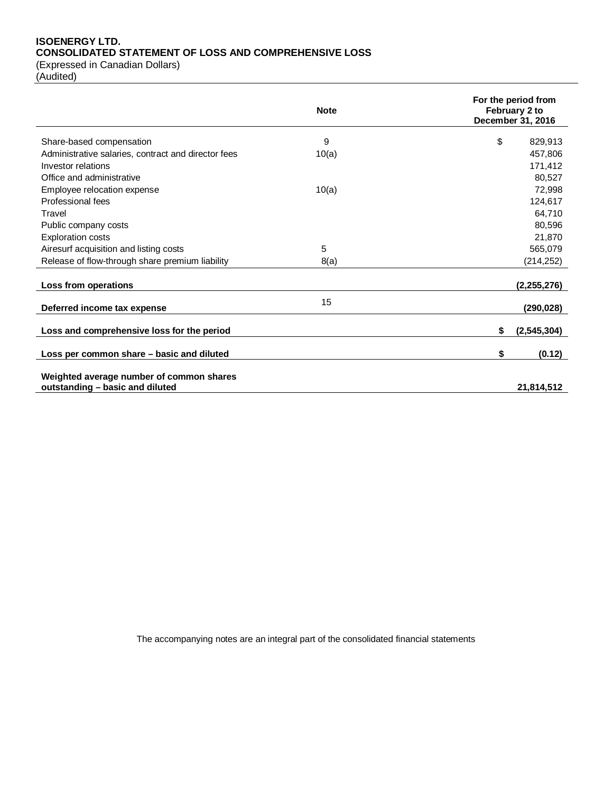# **ISOENERGY LTD. CONSOLIDATED STATEMENT OF LOSS AND COMPREHENSIVE LOSS**

(Expressed in Canadian Dollars)

(Audited)

|                                                                             | <b>Note</b> | For the period from<br>February 2 to<br>December 31, 2016 |  |  |
|-----------------------------------------------------------------------------|-------------|-----------------------------------------------------------|--|--|
| Share-based compensation                                                    | 9           | \$<br>829,913                                             |  |  |
| Administrative salaries, contract and director fees                         | 10(a)       | 457,806                                                   |  |  |
| Investor relations                                                          |             | 171,412                                                   |  |  |
| Office and administrative                                                   |             | 80,527                                                    |  |  |
| Employee relocation expense                                                 | 10(a)       | 72,998                                                    |  |  |
| Professional fees                                                           |             | 124,617                                                   |  |  |
| Travel                                                                      |             | 64,710                                                    |  |  |
| Public company costs                                                        |             | 80,596                                                    |  |  |
| <b>Exploration costs</b>                                                    |             | 21,870                                                    |  |  |
| Airesurf acquisition and listing costs                                      | 5           | 565,079                                                   |  |  |
| Release of flow-through share premium liability                             | 8(a)        | (214, 252)                                                |  |  |
| Loss from operations                                                        |             | (2, 255, 276)                                             |  |  |
|                                                                             |             |                                                           |  |  |
| Deferred income tax expense                                                 | 15          | (290, 028)                                                |  |  |
| Loss and comprehensive loss for the period                                  |             | (2, 545, 304)<br>S.                                       |  |  |
| Loss per common share – basic and diluted                                   |             | \$<br>(0.12)                                              |  |  |
| Weighted average number of common shares<br>outstanding - basic and diluted |             | 21,814,512                                                |  |  |

The accompanying notes are an integral part of the consolidated financial statements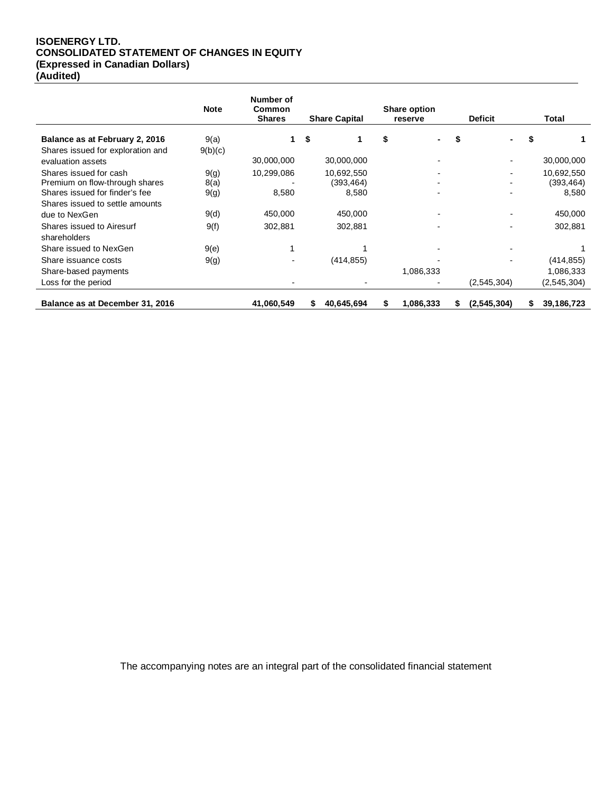## **ISOENERGY LTD. CONSOLIDATED STATEMENT OF CHANGES IN EQUITY (Expressed in Canadian Dollars) (Audited)**

|                                           | <b>Note</b> | Number of<br>Common<br><b>Shares</b> | <b>Share Capital</b> | <b>Share option</b><br>reserve | <b>Deficit</b>       | Total       |
|-------------------------------------------|-------------|--------------------------------------|----------------------|--------------------------------|----------------------|-------------|
| Balance as at February 2, 2016            | 9(a)        | 1.                                   | \$                   | \$<br>۰.                       | \$                   |             |
| Shares issued for exploration and         | 9(b)(c)     |                                      |                      |                                |                      |             |
| evaluation assets                         |             | 30,000,000                           | 30,000,000           | $\blacksquare$                 |                      | 30,000,000  |
| Shares issued for cash                    | 9(g)        | 10,299,086                           | 10,692,550           |                                |                      | 10,692,550  |
| Premium on flow-through shares            | 8(a)        |                                      | (393,464)            |                                |                      | (393, 464)  |
| Shares issued for finder's fee            | 9(g)        | 8,580                                | 8,580                | $\overline{\phantom{0}}$       |                      | 8,580       |
| Shares issued to settle amounts           |             |                                      |                      |                                |                      |             |
| due to NexGen                             | 9(d)        | 450,000                              | 450,000              |                                |                      | 450,000     |
| Shares issued to Airesurf<br>shareholders | 9(f)        | 302,881                              | 302,881              |                                |                      | 302,881     |
| Share issued to NexGen                    | 9(e)        |                                      |                      |                                |                      |             |
| Share issuance costs                      | 9(g)        |                                      | (414, 855)           |                                |                      | (414, 855)  |
| Share-based payments                      |             |                                      |                      | 1,086,333                      |                      | 1,086,333   |
| Loss for the period                       |             |                                      |                      |                                | (2,545,304)          | (2,545,304) |
| Balance as at December 31, 2016           |             | 41,060,549                           | 40,645,694<br>S      | 1,086,333<br>S                 | (2, 545, 304)<br>SS. | 39,186,723  |

The accompanying notes are an integral part of the consolidated financial statement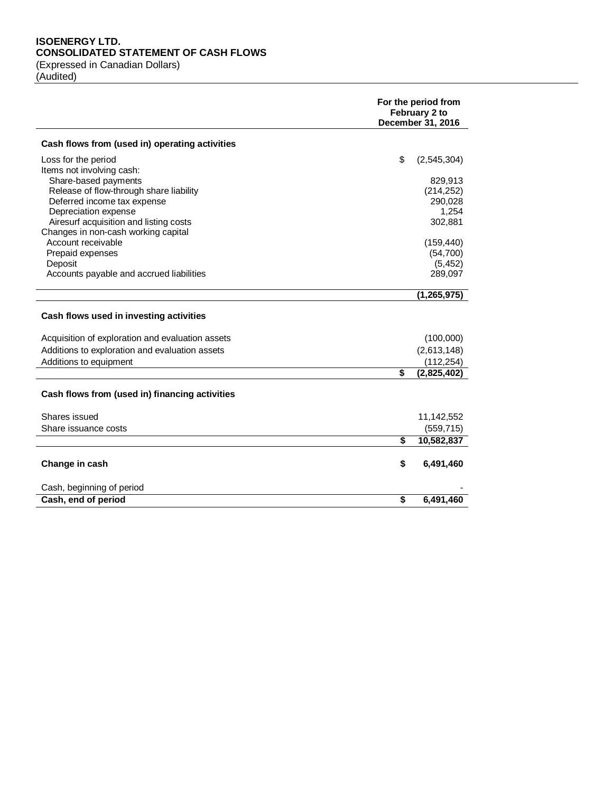# **ISOENERGY LTD. CONSOLIDATED STATEMENT OF CASH FLOWS**

(Expressed in Canadian Dollars)

(Audited)

|                                                                 | For the period from<br>February 2 to<br>December 31, 2016 |
|-----------------------------------------------------------------|-----------------------------------------------------------|
| Cash flows from (used in) operating activities                  |                                                           |
| Loss for the period                                             | \$<br>(2, 545, 304)                                       |
| Items not involving cash:                                       |                                                           |
| Share-based payments<br>Release of flow-through share liability | 829,913                                                   |
| Deferred income tax expense                                     | (214, 252)<br>290,028                                     |
| Depreciation expense                                            | 1,254                                                     |
| Airesurf acquisition and listing costs                          | 302,881                                                   |
| Changes in non-cash working capital                             |                                                           |
| Account receivable                                              | (159, 440)                                                |
| Prepaid expenses                                                | (54,700)                                                  |
| Deposit<br>Accounts payable and accrued liabilities             | (5, 452)<br>289,097                                       |
|                                                                 |                                                           |
|                                                                 | (1, 265, 975)                                             |
| Cash flows used in investing activities                         |                                                           |
| Acquisition of exploration and evaluation assets                | (100,000)                                                 |
| Additions to exploration and evaluation assets                  | (2,613,148)                                               |
| Additions to equipment                                          | (112, 254)                                                |
|                                                                 | \$<br>(2,825,402)                                         |
| Cash flows from (used in) financing activities                  |                                                           |
| Shares issued                                                   | 11,142,552                                                |
| Share issuance costs                                            | (559, 715)                                                |
|                                                                 | \$<br>10,582,837                                          |
| Change in cash                                                  | \$<br>6,491,460                                           |
| Cash, beginning of period                                       |                                                           |
| Cash, end of period                                             | \$<br>6,491,460                                           |
|                                                                 |                                                           |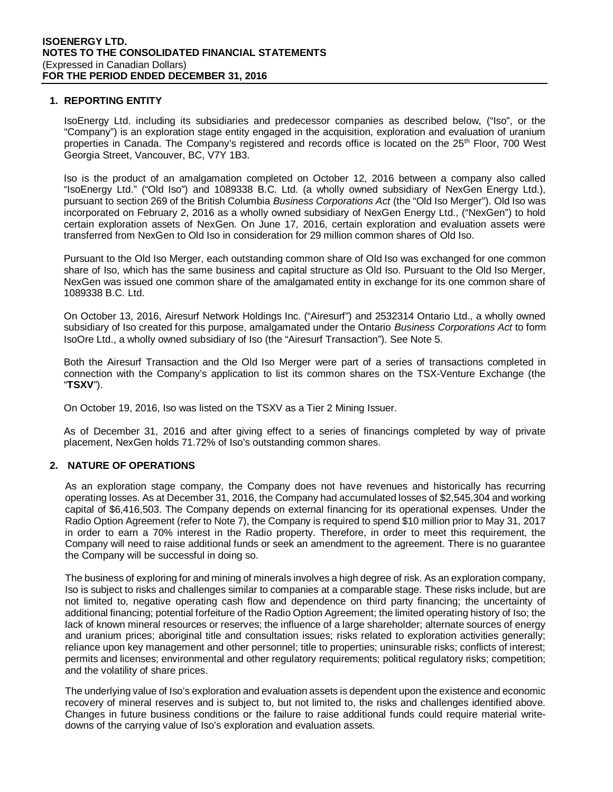## **1. REPORTING ENTITY**

IsoEnergy Ltd. including its subsidiaries and predecessor companies as described below, ("Iso", or the "Company") is an exploration stage entity engaged in the acquisition, exploration and evaluation of uranium properties in Canada. The Company's registered and records office is located on the 25<sup>th</sup> Floor, 700 West Georgia Street, Vancouver, BC, V7Y 1B3.

Iso is the product of an amalgamation completed on October 12, 2016 between a company also called "IsoEnergy Ltd." ("Old Iso") and 1089338 B.C. Ltd. (a wholly owned subsidiary of NexGen Energy Ltd.), pursuant to section 269 of the British Columbia *Business Corporations Act* (the "Old Iso Merger"). Old Iso was incorporated on February 2, 2016 as a wholly owned subsidiary of NexGen Energy Ltd., ("NexGen") to hold certain exploration assets of NexGen. On June 17, 2016, certain exploration and evaluation assets were transferred from NexGen to Old Iso in consideration for 29 million common shares of Old Iso.

Pursuant to the Old Iso Merger, each outstanding common share of Old Iso was exchanged for one common share of Iso, which has the same business and capital structure as Old Iso. Pursuant to the Old Iso Merger, NexGen was issued one common share of the amalgamated entity in exchange for its one common share of 1089338 B.C. Ltd.

On October 13, 2016, Airesurf Network Holdings Inc. ("Airesurf") and 2532314 Ontario Ltd., a wholly owned subsidiary of Iso created for this purpose, amalgamated under the Ontario *Business Corporations Act* to form IsoOre Ltd., a wholly owned subsidiary of Iso (the "Airesurf Transaction"). See Note 5.

Both the Airesurf Transaction and the Old Iso Merger were part of a series of transactions completed in connection with the Company's application to list its common shares on the TSX-Venture Exchange (the "**TSXV**").

On October 19, 2016, Iso was listed on the TSXV as a Tier 2 Mining Issuer.

As of December 31, 2016 and after giving effect to a series of financings completed by way of private placement, NexGen holds 71.72% of Iso's outstanding common shares.

## **2. NATURE OF OPERATIONS**

As an exploration stage company, the Company does not have revenues and historically has recurring operating losses. As at December 31, 2016, the Company had accumulated losses of \$2,545,304 and working capital of \$6,416,503. The Company depends on external financing for its operational expenses. Under the Radio Option Agreement (refer to Note 7), the Company is required to spend \$10 million prior to May 31, 2017 in order to earn a 70% interest in the Radio property. Therefore, in order to meet this requirement, the Company will need to raise additional funds or seek an amendment to the agreement. There is no guarantee the Company will be successful in doing so.

The business of exploring for and mining of minerals involves a high degree of risk. As an exploration company, Iso is subject to risks and challenges similar to companies at a comparable stage. These risks include, but are not limited to, negative operating cash flow and dependence on third party financing; the uncertainty of additional financing; potential forfeiture of the Radio Option Agreement; the limited operating history of Iso; the lack of known mineral resources or reserves; the influence of a large shareholder; alternate sources of energy and uranium prices; aboriginal title and consultation issues; risks related to exploration activities generally; reliance upon key management and other personnel; title to properties; uninsurable risks; conflicts of interest; permits and licenses; environmental and other regulatory requirements; political regulatory risks; competition; and the volatility of share prices.

The underlying value of Iso's exploration and evaluation assets is dependent upon the existence and economic recovery of mineral reserves and is subject to, but not limited to, the risks and challenges identified above. Changes in future business conditions or the failure to raise additional funds could require material writedowns of the carrying value of Iso's exploration and evaluation assets.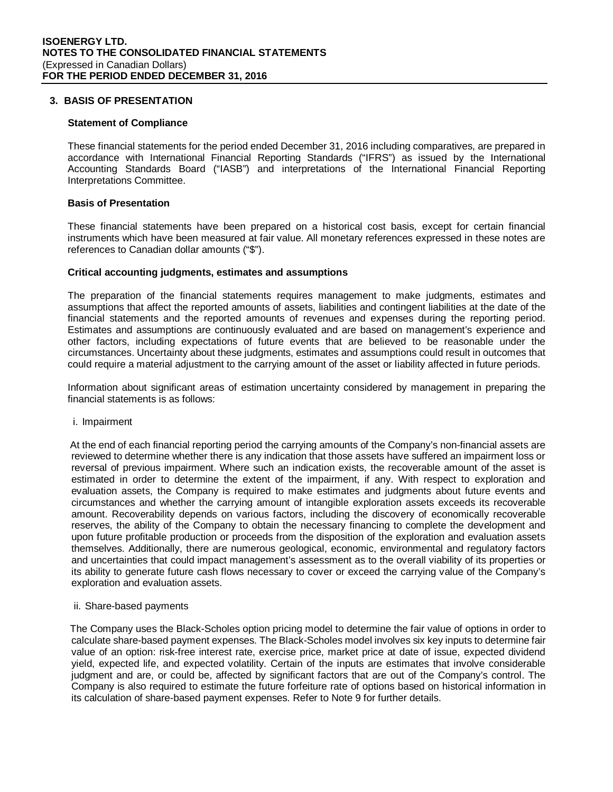#### **3. BASIS OF PRESENTATION**

## **Statement of Compliance**

These financial statements for the period ended December 31, 2016 including comparatives, are prepared in accordance with International Financial Reporting Standards ("IFRS") as issued by the International Accounting Standards Board ("IASB") and interpretations of the International Financial Reporting Interpretations Committee.

#### **Basis of Presentation**

These financial statements have been prepared on a historical cost basis, except for certain financial instruments which have been measured at fair value. All monetary references expressed in these notes are references to Canadian dollar amounts ("\$").

#### **Critical accounting judgments, estimates and assumptions**

The preparation of the financial statements requires management to make judgments, estimates and assumptions that affect the reported amounts of assets, liabilities and contingent liabilities at the date of the financial statements and the reported amounts of revenues and expenses during the reporting period. Estimates and assumptions are continuously evaluated and are based on management's experience and other factors, including expectations of future events that are believed to be reasonable under the circumstances. Uncertainty about these judgments, estimates and assumptions could result in outcomes that could require a material adjustment to the carrying amount of the asset or liability affected in future periods.

Information about significant areas of estimation uncertainty considered by management in preparing the financial statements is as follows:

i. Impairment

 At the end of each financial reporting period the carrying amounts of the Company's non-financial assets are reviewed to determine whether there is any indication that those assets have suffered an impairment loss or reversal of previous impairment. Where such an indication exists, the recoverable amount of the asset is estimated in order to determine the extent of the impairment, if any. With respect to exploration and evaluation assets, the Company is required to make estimates and judgments about future events and circumstances and whether the carrying amount of intangible exploration assets exceeds its recoverable amount. Recoverability depends on various factors, including the discovery of economically recoverable reserves, the ability of the Company to obtain the necessary financing to complete the development and upon future profitable production or proceeds from the disposition of the exploration and evaluation assets themselves. Additionally, there are numerous geological, economic, environmental and regulatory factors and uncertainties that could impact management's assessment as to the overall viability of its properties or its ability to generate future cash flows necessary to cover or exceed the carrying value of the Company's exploration and evaluation assets.

ii. Share-based payments

 The Company uses the Black-Scholes option pricing model to determine the fair value of options in order to calculate share-based payment expenses. The Black-Scholes model involves six key inputs to determine fair value of an option: risk-free interest rate, exercise price, market price at date of issue, expected dividend yield, expected life, and expected volatility. Certain of the inputs are estimates that involve considerable judgment and are, or could be, affected by significant factors that are out of the Company's control. The Company is also required to estimate the future forfeiture rate of options based on historical information in its calculation of share-based payment expenses. Refer to Note 9 for further details.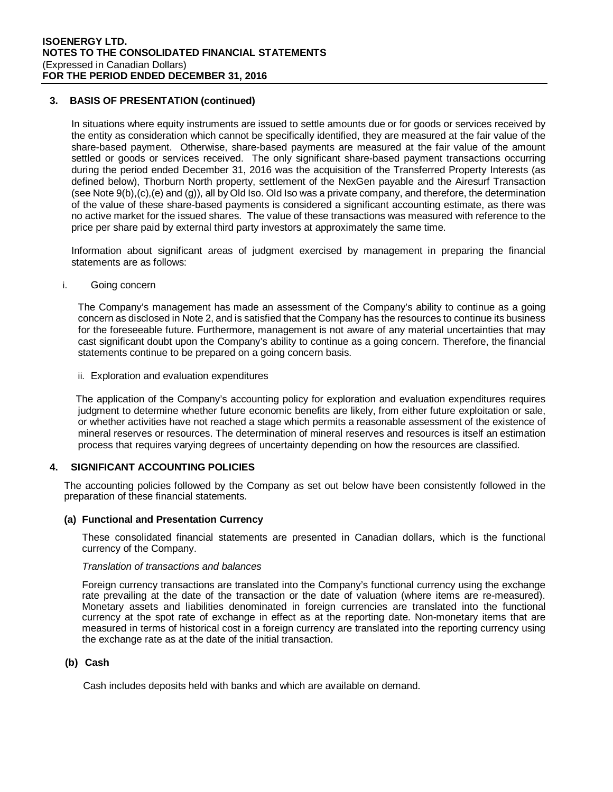## **3. BASIS OF PRESENTATION (continued)**

In situations where equity instruments are issued to settle amounts due or for goods or services received by the entity as consideration which cannot be specifically identified, they are measured at the fair value of the share-based payment. Otherwise, share-based payments are measured at the fair value of the amount settled or goods or services received. The only significant share-based payment transactions occurring during the period ended December 31, 2016 was the acquisition of the Transferred Property Interests (as defined below), Thorburn North property, settlement of the NexGen payable and the Airesurf Transaction (see Note 9(b),(c),(e) and (g)), all by Old Iso. Old Iso was a private company, and therefore, the determination of the value of these share-based payments is considered a significant accounting estimate, as there was no active market for the issued shares. The value of these transactions was measured with reference to the price per share paid by external third party investors at approximately the same time.

Information about significant areas of judgment exercised by management in preparing the financial statements are as follows:

i. Going concern

The Company's management has made an assessment of the Company's ability to continue as a going concern as disclosed in Note 2, and is satisfied that the Company has the resources to continue its business for the foreseeable future. Furthermore, management is not aware of any material uncertainties that may cast significant doubt upon the Company's ability to continue as a going concern. Therefore, the financial statements continue to be prepared on a going concern basis.

ii. Exploration and evaluation expenditures

The application of the Company's accounting policy for exploration and evaluation expenditures requires judgment to determine whether future economic benefits are likely, from either future exploitation or sale, or whether activities have not reached a stage which permits a reasonable assessment of the existence of mineral reserves or resources. The determination of mineral reserves and resources is itself an estimation process that requires varying degrees of uncertainty depending on how the resources are classified.

## **4. SIGNIFICANT ACCOUNTING POLICIES**

The accounting policies followed by the Company as set out below have been consistently followed in the preparation of these financial statements.

## **(a) Functional and Presentation Currency**

These consolidated financial statements are presented in Canadian dollars, which is the functional currency of the Company.

#### *Translation of transactions and balances*

Foreign currency transactions are translated into the Company's functional currency using the exchange rate prevailing at the date of the transaction or the date of valuation (where items are re-measured). Monetary assets and liabilities denominated in foreign currencies are translated into the functional currency at the spot rate of exchange in effect as at the reporting date. Non-monetary items that are measured in terms of historical cost in a foreign currency are translated into the reporting currency using the exchange rate as at the date of the initial transaction.

## **(b) Cash**

Cash includes deposits held with banks and which are available on demand.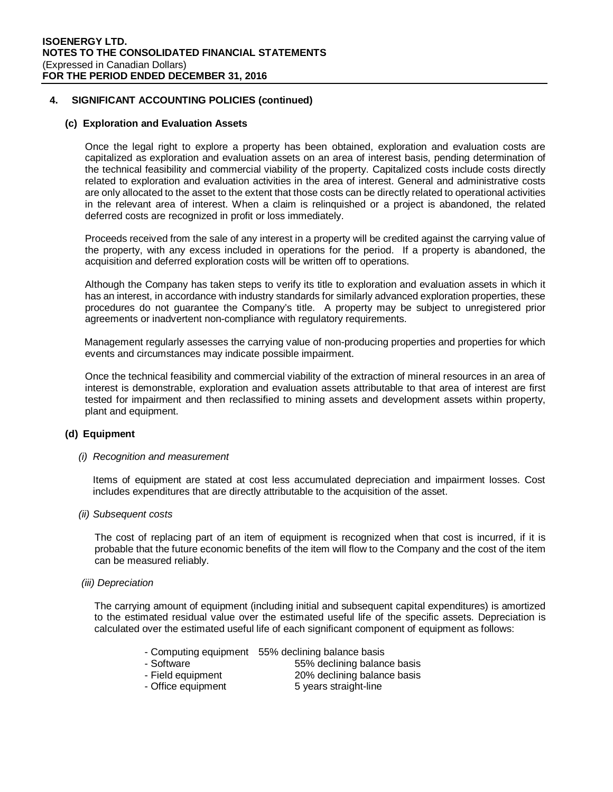#### **(c) Exploration and Evaluation Assets**

Once the legal right to explore a property has been obtained, exploration and evaluation costs are capitalized as exploration and evaluation assets on an area of interest basis, pending determination of the technical feasibility and commercial viability of the property. Capitalized costs include costs directly related to exploration and evaluation activities in the area of interest. General and administrative costs are only allocated to the asset to the extent that those costs can be directly related to operational activities in the relevant area of interest. When a claim is relinquished or a project is abandoned, the related deferred costs are recognized in profit or loss immediately.

Proceeds received from the sale of any interest in a property will be credited against the carrying value of the property, with any excess included in operations for the period. If a property is abandoned, the acquisition and deferred exploration costs will be written off to operations.

Although the Company has taken steps to verify its title to exploration and evaluation assets in which it has an interest, in accordance with industry standards for similarly advanced exploration properties, these procedures do not guarantee the Company's title. A property may be subject to unregistered prior agreements or inadvertent non-compliance with regulatory requirements.

 Management regularly assesses the carrying value of non-producing properties and properties for which events and circumstances may indicate possible impairment.

Once the technical feasibility and commercial viability of the extraction of mineral resources in an area of interest is demonstrable, exploration and evaluation assets attributable to that area of interest are first tested for impairment and then reclassified to mining assets and development assets within property, plant and equipment.

## **(d) Equipment**

#### *(i) Recognition and measurement*

Items of equipment are stated at cost less accumulated depreciation and impairment losses. Cost includes expenditures that are directly attributable to the acquisition of the asset.

#### *(ii) Subsequent costs*

The cost of replacing part of an item of equipment is recognized when that cost is incurred, if it is probable that the future economic benefits of the item will flow to the Company and the cost of the item can be measured reliably.

#### *(iii) Depreciation*

The carrying amount of equipment (including initial and subsequent capital expenditures) is amortized to the estimated residual value over the estimated useful life of the specific assets. Depreciation is calculated over the estimated useful life of each significant component of equipment as follows:

- Computing equipment 55% declining balance basis
- 

- Software 65% declining balance basis - Field equipment 20% declining balance basis

- 
- Office equipment 5 years straight-line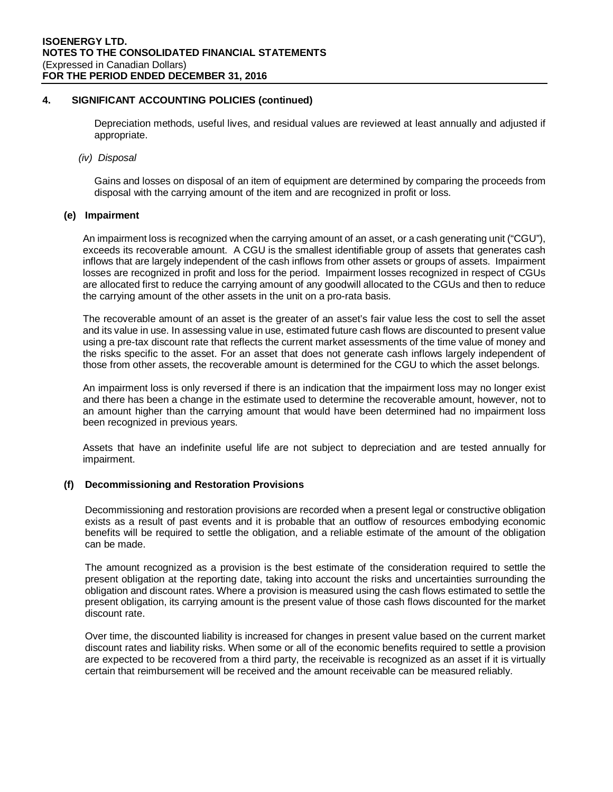Depreciation methods, useful lives, and residual values are reviewed at least annually and adjusted if appropriate.

*(iv) Disposal*

Gains and losses on disposal of an item of equipment are determined by comparing the proceeds from disposal with the carrying amount of the item and are recognized in profit or loss.

#### **(e) Impairment**

An impairment loss is recognized when the carrying amount of an asset, or a cash generating unit ("CGU"), exceeds its recoverable amount. A CGU is the smallest identifiable group of assets that generates cash inflows that are largely independent of the cash inflows from other assets or groups of assets. Impairment losses are recognized in profit and loss for the period. Impairment losses recognized in respect of CGUs are allocated first to reduce the carrying amount of any goodwill allocated to the CGUs and then to reduce the carrying amount of the other assets in the unit on a pro-rata basis.

The recoverable amount of an asset is the greater of an asset's fair value less the cost to sell the asset and its value in use. In assessing value in use, estimated future cash flows are discounted to present value using a pre-tax discount rate that reflects the current market assessments of the time value of money and the risks specific to the asset. For an asset that does not generate cash inflows largely independent of those from other assets, the recoverable amount is determined for the CGU to which the asset belongs.

An impairment loss is only reversed if there is an indication that the impairment loss may no longer exist and there has been a change in the estimate used to determine the recoverable amount, however, not to an amount higher than the carrying amount that would have been determined had no impairment loss been recognized in previous years.

Assets that have an indefinite useful life are not subject to depreciation and are tested annually for impairment.

## **(f) Decommissioning and Restoration Provisions**

Decommissioning and restoration provisions are recorded when a present legal or constructive obligation exists as a result of past events and it is probable that an outflow of resources embodying economic benefits will be required to settle the obligation, and a reliable estimate of the amount of the obligation can be made.

The amount recognized as a provision is the best estimate of the consideration required to settle the present obligation at the reporting date, taking into account the risks and uncertainties surrounding the obligation and discount rates. Where a provision is measured using the cash flows estimated to settle the present obligation, its carrying amount is the present value of those cash flows discounted for the market discount rate.

Over time, the discounted liability is increased for changes in present value based on the current market discount rates and liability risks. When some or all of the economic benefits required to settle a provision are expected to be recovered from a third party, the receivable is recognized as an asset if it is virtually certain that reimbursement will be received and the amount receivable can be measured reliably.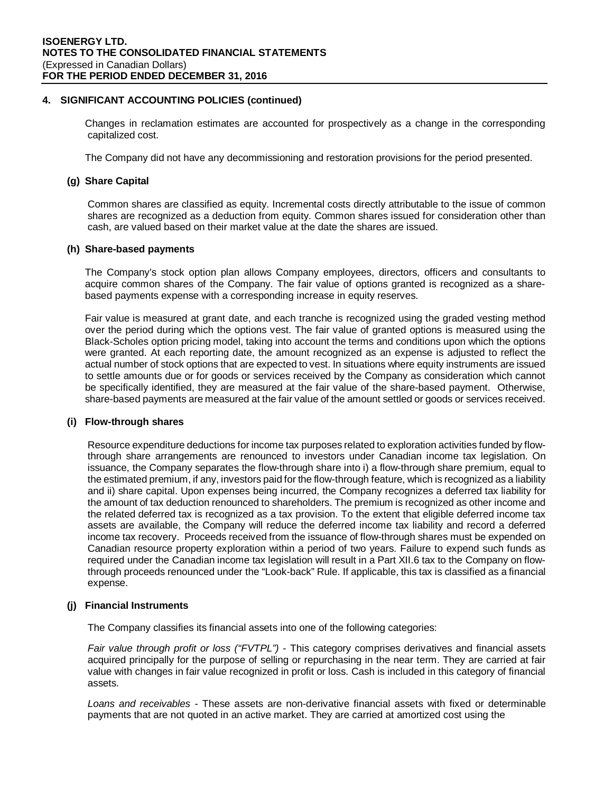Changes in reclamation estimates are accounted for prospectively as a change in the corresponding capitalized cost.

The Company did not have any decommissioning and restoration provisions for the period presented.

# **(g) Share Capital**

Common shares are classified as equity. Incremental costs directly attributable to the issue of common shares are recognized as a deduction from equity. Common shares issued for consideration other than cash, are valued based on their market value at the date the shares are issued.

#### **(h) Share-based payments**

The Company's stock option plan allows Company employees, directors, officers and consultants to acquire common shares of the Company. The fair value of options granted is recognized as a sharebased payments expense with a corresponding increase in equity reserves.

Fair value is measured at grant date, and each tranche is recognized using the graded vesting method over the period during which the options vest. The fair value of granted options is measured using the Black-Scholes option pricing model, taking into account the terms and conditions upon which the options were granted. At each reporting date, the amount recognized as an expense is adjusted to reflect the actual number of stock options that are expected to vest. In situations where equity instruments are issued to settle amounts due or for goods or services received by the Company as consideration which cannot be specifically identified, they are measured at the fair value of the share-based payment. Otherwise, share-based payments are measured at the fair value of the amount settled or goods or services received.

## **(i) Flow-through shares**

Resource expenditure deductions for income tax purposes related to exploration activities funded by flowthrough share arrangements are renounced to investors under Canadian income tax legislation. On issuance, the Company separates the flow-through share into i) a flow-through share premium, equal to the estimated premium, if any, investors paid for the flow-through feature, which is recognized as a liability and ii) share capital. Upon expenses being incurred, the Company recognizes a deferred tax liability for the amount of tax deduction renounced to shareholders. The premium is recognized as other income and the related deferred tax is recognized as a tax provision. To the extent that eligible deferred income tax assets are available, the Company will reduce the deferred income tax liability and record a deferred income tax recovery. Proceeds received from the issuance of flow-through shares must be expended on Canadian resource property exploration within a period of two years. Failure to expend such funds as required under the Canadian income tax legislation will result in a Part XII.6 tax to the Company on flowthrough proceeds renounced under the "Look-back" Rule. If applicable, this tax is classified as a financial expense.

## **(j) Financial Instruments**

The Company classifies its financial assets into one of the following categories:

*Fair value through profit or loss ("FVTPL") -* This category comprises derivatives and financial assets acquired principally for the purpose of selling or repurchasing in the near term. They are carried at fair value with changes in fair value recognized in profit or loss. Cash is included in this category of financial assets.

*Loans and receivables* - These assets are non-derivative financial assets with fixed or determinable payments that are not quoted in an active market. They are carried at amortized cost using the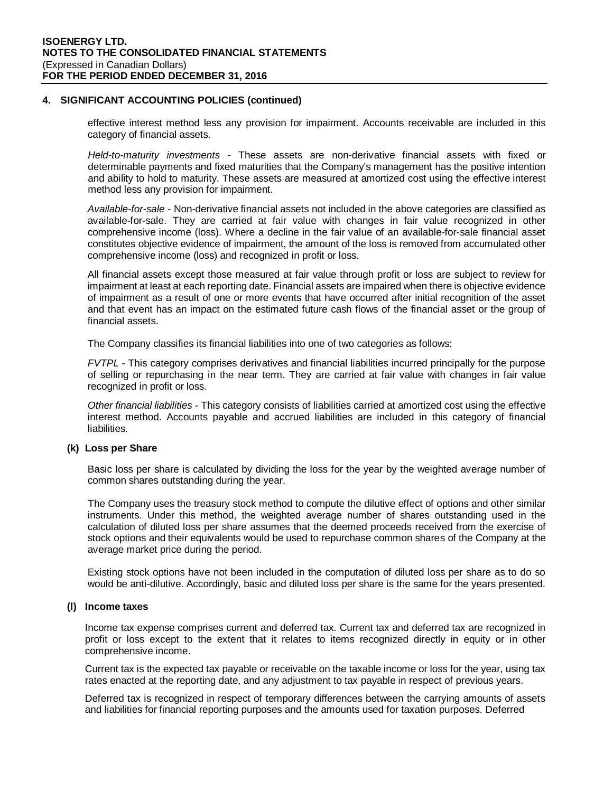effective interest method less any provision for impairment. Accounts receivable are included in this category of financial assets.

*Held-to-maturity investments -* These assets are non-derivative financial assets with fixed or determinable payments and fixed maturities that the Company's management has the positive intention and ability to hold to maturity. These assets are measured at amortized cost using the effective interest method less any provision for impairment.

*Available-for-sale* - Non-derivative financial assets not included in the above categories are classified as available-for-sale. They are carried at fair value with changes in fair value recognized in other comprehensive income (loss). Where a decline in the fair value of an available-for-sale financial asset constitutes objective evidence of impairment, the amount of the loss is removed from accumulated other comprehensive income (loss) and recognized in profit or loss.

All financial assets except those measured at fair value through profit or loss are subject to review for impairment at least at each reporting date. Financial assets are impaired when there is objective evidence of impairment as a result of one or more events that have occurred after initial recognition of the asset and that event has an impact on the estimated future cash flows of the financial asset or the group of financial assets.

The Company classifies its financial liabilities into one of two categories as follows:

*FVTPL* - This category comprises derivatives and financial liabilities incurred principally for the purpose of selling or repurchasing in the near term. They are carried at fair value with changes in fair value recognized in profit or loss.

*Other financial liabilities -* This category consists of liabilities carried at amortized cost using the effective interest method. Accounts payable and accrued liabilities are included in this category of financial liabilities.

## **(k) Loss per Share**

Basic loss per share is calculated by dividing the loss for the year by the weighted average number of common shares outstanding during the year.

 The Company uses the treasury stock method to compute the dilutive effect of options and other similar instruments. Under this method, the weighted average number of shares outstanding used in the calculation of diluted loss per share assumes that the deemed proceeds received from the exercise of stock options and their equivalents would be used to repurchase common shares of the Company at the average market price during the period.

Existing stock options have not been included in the computation of diluted loss per share as to do so would be anti-dilutive. Accordingly, basic and diluted loss per share is the same for the years presented.

## **(l) Income taxes**

Income tax expense comprises current and deferred tax. Current tax and deferred tax are recognized in profit or loss except to the extent that it relates to items recognized directly in equity or in other comprehensive income.

Current tax is the expected tax payable or receivable on the taxable income or loss for the year, using tax rates enacted at the reporting date, and any adjustment to tax payable in respect of previous years.

Deferred tax is recognized in respect of temporary differences between the carrying amounts of assets and liabilities for financial reporting purposes and the amounts used for taxation purposes. Deferred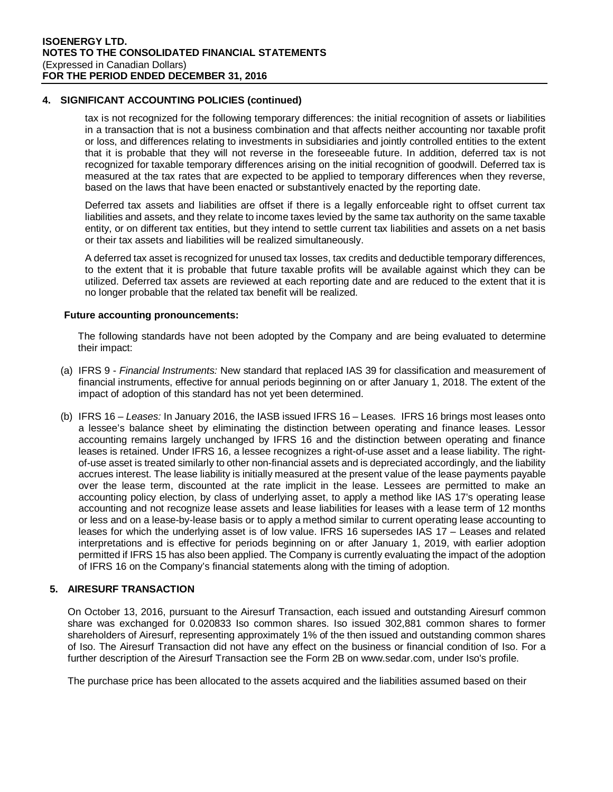tax is not recognized for the following temporary differences: the initial recognition of assets or liabilities in a transaction that is not a business combination and that affects neither accounting nor taxable profit or loss, and differences relating to investments in subsidiaries and jointly controlled entities to the extent that it is probable that they will not reverse in the foreseeable future. In addition, deferred tax is not recognized for taxable temporary differences arising on the initial recognition of goodwill. Deferred tax is measured at the tax rates that are expected to be applied to temporary differences when they reverse, based on the laws that have been enacted or substantively enacted by the reporting date.

Deferred tax assets and liabilities are offset if there is a legally enforceable right to offset current tax liabilities and assets, and they relate to income taxes levied by the same tax authority on the same taxable entity, or on different tax entities, but they intend to settle current tax liabilities and assets on a net basis or their tax assets and liabilities will be realized simultaneously.

A deferred tax asset is recognized for unused tax losses, tax credits and deductible temporary differences, to the extent that it is probable that future taxable profits will be available against which they can be utilized. Deferred tax assets are reviewed at each reporting date and are reduced to the extent that it is no longer probable that the related tax benefit will be realized.

#### **Future accounting pronouncements:**

The following standards have not been adopted by the Company and are being evaluated to determine their impact:

- (a) IFRS 9 *Financial Instruments:* New standard that replaced IAS 39 for classification and measurement of financial instruments, effective for annual periods beginning on or after January 1, 2018. The extent of the impact of adoption of this standard has not yet been determined.
- (b) IFRS 16 *Leases:* In January 2016, the IASB issued IFRS 16 Leases. IFRS 16 brings most leases onto a lessee's balance sheet by eliminating the distinction between operating and finance leases. Lessor accounting remains largely unchanged by IFRS 16 and the distinction between operating and finance leases is retained. Under IFRS 16, a lessee recognizes a right-of-use asset and a lease liability. The rightof-use asset is treated similarly to other non-financial assets and is depreciated accordingly, and the liability accrues interest. The lease liability is initially measured at the present value of the lease payments payable over the lease term, discounted at the rate implicit in the lease. Lessees are permitted to make an accounting policy election, by class of underlying asset, to apply a method like IAS 17's operating lease accounting and not recognize lease assets and lease liabilities for leases with a lease term of 12 months or less and on a lease-by-lease basis or to apply a method similar to current operating lease accounting to leases for which the underlying asset is of low value. IFRS 16 supersedes IAS 17 – Leases and related interpretations and is effective for periods beginning on or after January 1, 2019, with earlier adoption permitted if IFRS 15 has also been applied. The Company is currently evaluating the impact of the adoption of IFRS 16 on the Company's financial statements along with the timing of adoption.

## **5. AIRESURF TRANSACTION**

On October 13, 2016, pursuant to the Airesurf Transaction, each issued and outstanding Airesurf common share was exchanged for 0.020833 Iso common shares. Iso issued 302,881 common shares to former shareholders of Airesurf, representing approximately 1% of the then issued and outstanding common shares of Iso. The Airesurf Transaction did not have any effect on the business or financial condition of Iso. For a further description of the Airesurf Transaction see the Form 2B on www.sedar.com, under Iso's profile.

The purchase price has been allocated to the assets acquired and the liabilities assumed based on their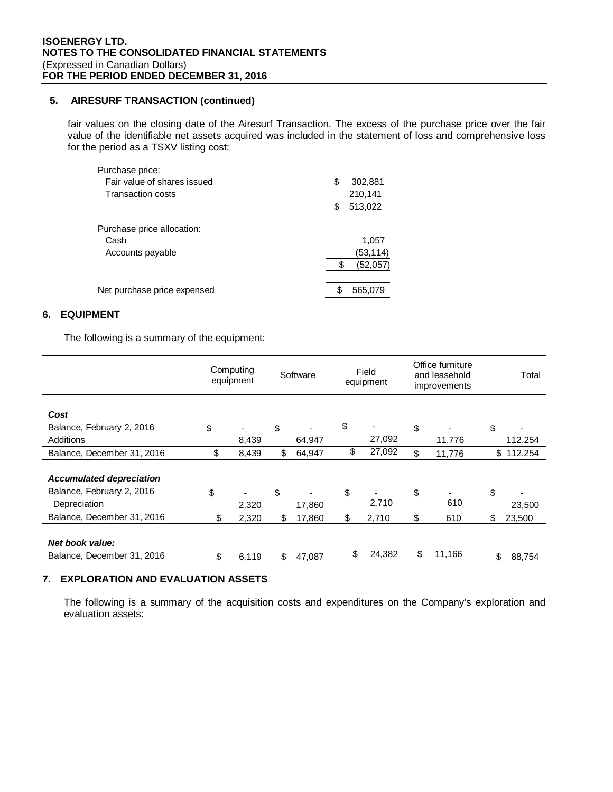## **5. AIRESURF TRANSACTION (continued)**

fair values on the closing date of the Airesurf Transaction. The excess of the purchase price over the fair value of the identifiable net assets acquired was included in the statement of loss and comprehensive loss for the period as a TSXV listing cost:

| Purchase price:             |               |
|-----------------------------|---------------|
| Fair value of shares issued | \$<br>302,881 |
| Transaction costs           | 210,141       |
|                             | 513,022       |
| Purchase price allocation:  |               |
| Cash                        | 1,057         |
| Accounts payable            | (53,114)      |
|                             | (52,057)      |
| Net purchase price expensed | 565,079       |
|                             |               |

## **6. EQUIPMENT**

The following is a summary of the equipment:

|                                 | Computing<br>equipment | Software |        | Field<br>equipment |        | Office furniture<br>and leasehold<br>improvements |        | Total        |
|---------------------------------|------------------------|----------|--------|--------------------|--------|---------------------------------------------------|--------|--------------|
| Cost                            |                        |          |        |                    |        |                                                   |        |              |
| Balance, February 2, 2016       | \$                     | \$       |        | \$                 |        | \$                                                |        | \$           |
| Additions                       | 8,439                  |          | 64,947 |                    | 27,092 |                                                   | 11,776 | 112,254      |
| Balance, December 31, 2016      | \$<br>8,439            | \$       | 64,947 | \$                 | 27,092 | \$                                                | 11,776 | \$112,254    |
| <b>Accumulated depreciation</b> |                        |          |        |                    |        |                                                   |        |              |
| Balance, February 2, 2016       | \$                     | \$       |        | \$                 |        | \$                                                |        | \$           |
| Depreciation                    | 2,320                  |          | 17,860 |                    | 2,710  |                                                   | 610    | 23,500       |
| Balance, December 31, 2016      | \$<br>2,320            | \$       | 17.860 | \$                 | 2,710  | \$                                                | 610    | \$<br>23,500 |
| Net book value:                 |                        |          |        |                    | 24,382 | \$                                                | 11,166 |              |
| Balance, December 31, 2016      | \$<br>6,119            | S        | 47,087 | \$                 |        |                                                   |        | \$<br>88,754 |

## **7. EXPLORATION AND EVALUATION ASSETS**

The following is a summary of the acquisition costs and expenditures on the Company's exploration and evaluation assets: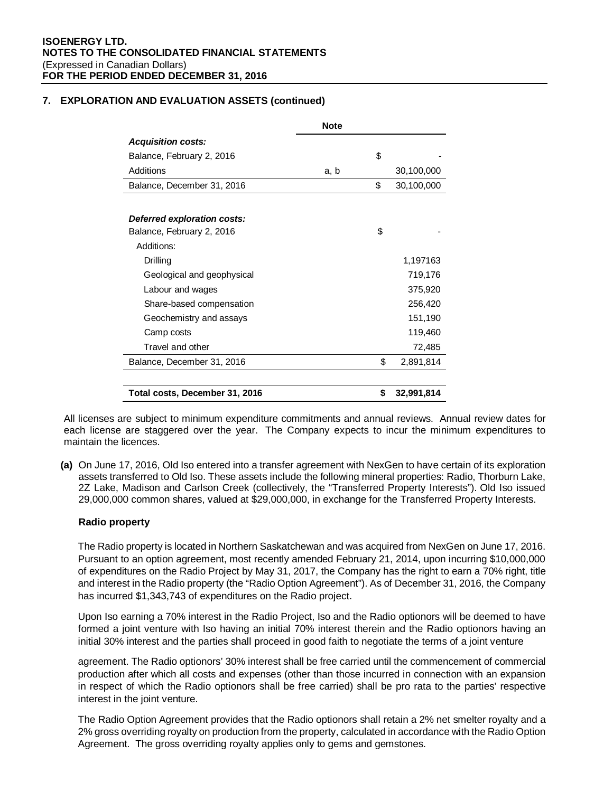# **7. EXPLORATION AND EVALUATION ASSETS (continued)**

|                                                          | <b>Note</b> |                  |
|----------------------------------------------------------|-------------|------------------|
| <b>Acquisition costs:</b>                                |             |                  |
| Balance, February 2, 2016                                |             | \$               |
| Additions                                                | a, b        | 30,100,000       |
| Balance, December 31, 2016                               |             | \$<br>30,100,000 |
| Deferred exploration costs:<br>Balance, February 2, 2016 |             | \$               |
| Additions:                                               |             |                  |
| Drilling                                                 |             | 1,197163         |
| Geological and geophysical                               |             | 719,176          |
| Labour and wages                                         |             | 375,920          |
| Share-based compensation                                 |             | 256,420          |
| Geochemistry and assays                                  |             | 151,190          |
| Camp costs                                               |             | 119,460          |
| Travel and other                                         |             | 72,485           |
| Balance, December 31, 2016                               |             | \$<br>2,891,814  |
| Total costs, December 31, 2016                           |             | \$<br>32,991,814 |

All licenses are subject to minimum expenditure commitments and annual reviews. Annual review dates for each license are staggered over the year. The Company expects to incur the minimum expenditures to maintain the licences.

**(a)** On June 17, 2016, Old Iso entered into a transfer agreement with NexGen to have certain of its exploration assets transferred to Old Iso. These assets include the following mineral properties: Radio, Thorburn Lake, 2Z Lake, Madison and Carlson Creek (collectively, the "Transferred Property Interests"). Old Iso issued 29,000,000 common shares, valued at \$29,000,000, in exchange for the Transferred Property Interests.

## **Radio property**

The Radio property is located in Northern Saskatchewan and was acquired from NexGen on June 17, 2016. Pursuant to an option agreement, most recently amended February 21, 2014, upon incurring \$10,000,000 of expenditures on the Radio Project by May 31, 2017, the Company has the right to earn a 70% right, title and interest in the Radio property (the "Radio Option Agreement"). As of December 31, 2016, the Company has incurred \$1,343,743 of expenditures on the Radio project.

Upon Iso earning a 70% interest in the Radio Project, Iso and the Radio optionors will be deemed to have formed a joint venture with Iso having an initial 70% interest therein and the Radio optionors having an initial 30% interest and the parties shall proceed in good faith to negotiate the terms of a joint venture

agreement. The Radio optionors' 30% interest shall be free carried until the commencement of commercial production after which all costs and expenses (other than those incurred in connection with an expansion in respect of which the Radio optionors shall be free carried) shall be pro rata to the parties' respective interest in the joint venture.

The Radio Option Agreement provides that the Radio optionors shall retain a 2% net smelter royalty and a 2% gross overriding royalty on production from the property, calculated in accordance with the Radio Option Agreement. The gross overriding royalty applies only to gems and gemstones.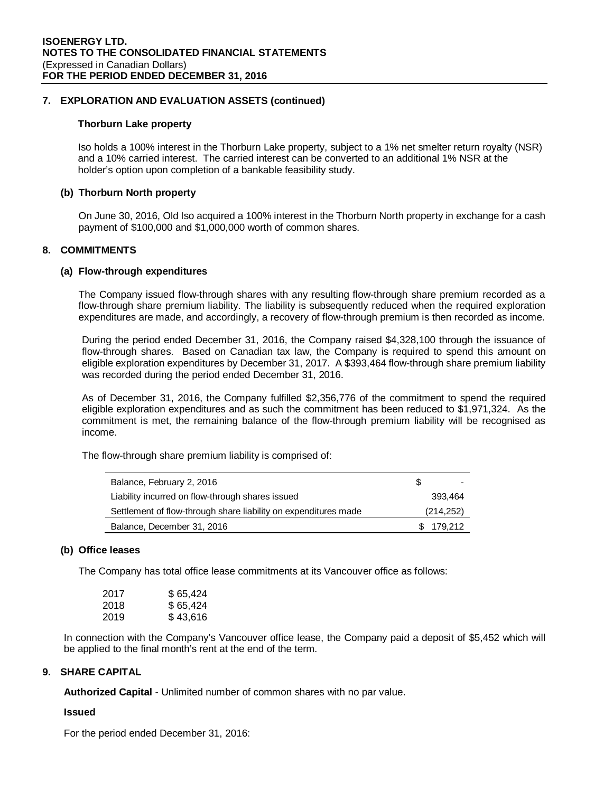#### **7. EXPLORATION AND EVALUATION ASSETS (continued)**

#### **Thorburn Lake property**

Iso holds a 100% interest in the Thorburn Lake property, subject to a 1% net smelter return royalty (NSR) and a 10% carried interest. The carried interest can be converted to an additional 1% NSR at the holder's option upon completion of a bankable feasibility study.

#### **(b) Thorburn North property**

On June 30, 2016, Old Iso acquired a 100% interest in the Thorburn North property in exchange for a cash payment of \$100,000 and \$1,000,000 worth of common shares.

#### **8. COMMITMENTS**

#### **(a) Flow-through expenditures**

The Company issued flow-through shares with any resulting flow-through share premium recorded as a flow-through share premium liability. The liability is subsequently reduced when the required exploration expenditures are made, and accordingly, a recovery of flow-through premium is then recorded as income.

During the period ended December 31, 2016, the Company raised \$4,328,100 through the issuance of flow-through shares. Based on Canadian tax law, the Company is required to spend this amount on eligible exploration expenditures by December 31, 2017. A \$393,464 flow-through share premium liability was recorded during the period ended December 31, 2016.

As of December 31, 2016, the Company fulfilled \$2,356,776 of the commitment to spend the required eligible exploration expenditures and as such the commitment has been reduced to \$1,971,324. As the commitment is met, the remaining balance of the flow-through premium liability will be recognised as income.

The flow-through share premium liability is comprised of:

| Balance, February 2, 2016                                       | S. |            |
|-----------------------------------------------------------------|----|------------|
| Liability incurred on flow-through shares issued                |    | 393.464    |
| Settlement of flow-through share liability on expenditures made |    | (214, 252) |
| Balance, December 31, 2016                                      |    | 179,212    |

## **(b) Office leases**

The Company has total office lease commitments at its Vancouver office as follows:

| 2017 | \$65,424 |
|------|----------|
| 2018 | \$65,424 |
| 2019 | \$43,616 |

In connection with the Company's Vancouver office lease, the Company paid a deposit of \$5,452 which will be applied to the final month's rent at the end of the term.

## **9. SHARE CAPITAL**

**Authorized Capital** - Unlimited number of common shares with no par value.

#### **Issued**

For the period ended December 31, 2016: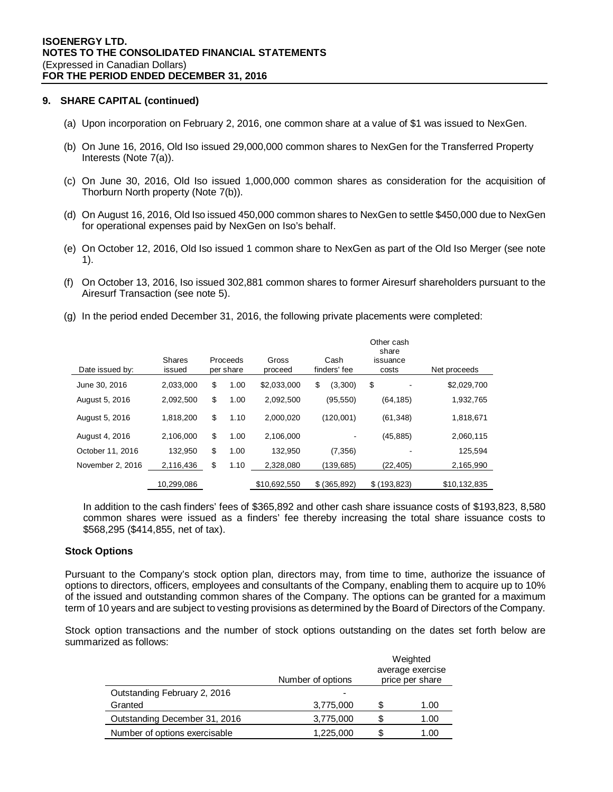#### **9. SHARE CAPITAL (continued)**

- (a) Upon incorporation on February 2, 2016, one common share at a value of \$1 was issued to NexGen.
- (b) On June 16, 2016, Old Iso issued 29,000,000 common shares to NexGen for the Transferred Property Interests (Note 7(a)).
- (c) On June 30, 2016, Old Iso issued 1,000,000 common shares as consideration for the acquisition of Thorburn North property (Note 7(b)).
- (d) On August 16, 2016, Old Iso issued 450,000 common shares to NexGen to settle \$450,000 due to NexGen for operational expenses paid by NexGen on Iso's behalf.
- (e) On October 12, 2016, Old Iso issued 1 common share to NexGen as part of the Old Iso Merger (see note 1).
- (f) On October 13, 2016, Iso issued 302,881 common shares to former Airesurf shareholders pursuant to the Airesurf Transaction (see note 5).
- (g) In the period ended December 31, 2016, the following private placements were completed:

| Date issued by:  | <b>Shares</b><br>issued | Proceeds<br>per share | Gross<br>proceed | Cash<br>finders' fee | Other cash<br>share<br>issuance<br>costs | Net proceeds |
|------------------|-------------------------|-----------------------|------------------|----------------------|------------------------------------------|--------------|
|                  |                         |                       |                  |                      |                                          |              |
| June 30, 2016    | 2,033,000               | \$<br>1.00            | \$2,033,000      | \$<br>(3,300)        | \$                                       | \$2,029,700  |
| August 5, 2016   | 2,092,500               | \$<br>1.00            | 2,092,500        | (95, 550)            | (64, 185)                                | 1,932,765    |
| August 5, 2016   | 1,818,200               | \$<br>1.10            | 2,000,020        | (120,001)            | (61, 348)                                | 1,818,671    |
| August 4, 2016   | 2,106,000               | \$<br>1.00            | 2,106,000        |                      | (45, 885)                                | 2,060,115    |
| October 11, 2016 | 132.950                 | \$<br>1.00            | 132,950          | (7,356)              |                                          | 125,594      |
| November 2, 2016 | 2,116,436               | \$<br>1.10            | 2.328.080        | (139,685)            | (22, 405)                                | 2,165,990    |
|                  | 10.299.086              |                       | \$10,692,550     | \$ (365,892)         | \$(193, 823)                             | \$10.132.835 |

In addition to the cash finders' fees of \$365,892 and other cash share issuance costs of \$193,823, 8,580 common shares were issued as a finders' fee thereby increasing the total share issuance costs to \$568,295 (\$414,855, net of tax).

## **Stock Options**

Pursuant to the Company's stock option plan, directors may, from time to time, authorize the issuance of options to directors, officers, employees and consultants of the Company, enabling them to acquire up to 10% of the issued and outstanding common shares of the Company. The options can be granted for a maximum term of 10 years and are subject to vesting provisions as determined by the Board of Directors of the Company.

Stock option transactions and the number of stock options outstanding on the dates set forth below are summarized as follows:

|                               | Number of options | Weighted<br>average exercise<br>price per share |
|-------------------------------|-------------------|-------------------------------------------------|
| Outstanding February 2, 2016  | -                 |                                                 |
| Granted                       | 3,775,000         | 1.00                                            |
| Outstanding December 31, 2016 | 3,775,000         | 1.00                                            |
| Number of options exercisable | 1,225,000         | 1.00                                            |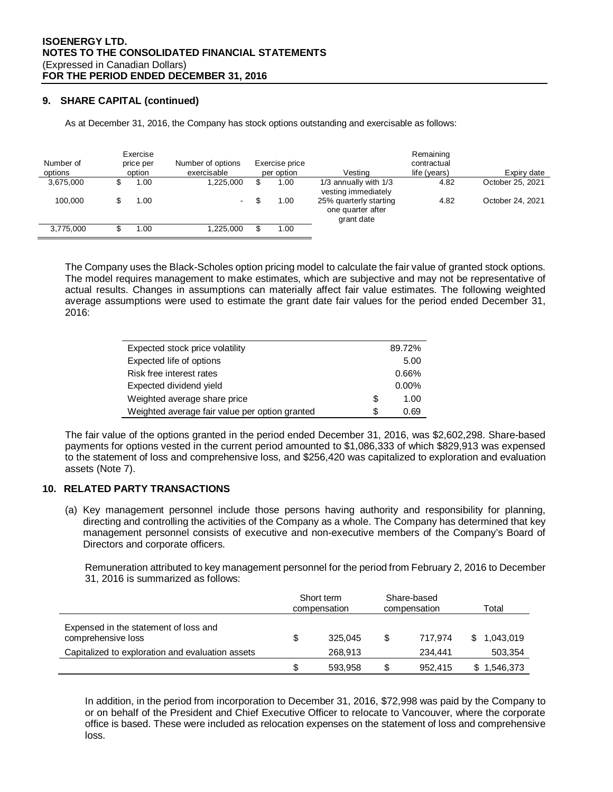## **9. SHARE CAPITAL (continued)**

As at December 31, 2016, the Company has stock options outstanding and exercisable as follows:

| Number of<br>options | Exercise<br>price per<br>option | Number of options<br>exercisable | Exercise price<br>per option | Vestina                                                   | Remaining<br>contractual<br>life (years) | Expiry date      |
|----------------------|---------------------------------|----------------------------------|------------------------------|-----------------------------------------------------------|------------------------------------------|------------------|
| 3.675.000            | 0.00                            | 1.225.000                        | 1.00                         | $1/3$ annually with $1/3$<br>vesting immediately          | 4.82                                     | October 25, 2021 |
| 100.000              | .00                             | $\sim$                           | 1.00                         | 25% quarterly starting<br>one quarter after<br>grant date | 4.82                                     | October 24, 2021 |
| 3,775,000            | .00                             | 1.225.000                        | \$<br>1.00                   |                                                           |                                          |                  |

The Company uses the Black-Scholes option pricing model to calculate the fair value of granted stock options. The model requires management to make estimates, which are subjective and may not be representative of actual results. Changes in assumptions can materially affect fair value estimates. The following weighted average assumptions were used to estimate the grant date fair values for the period ended December 31, 2016:

| Expected stock price volatility                |   | 89.72%   |
|------------------------------------------------|---|----------|
| Expected life of options                       |   | 5.00     |
| Risk free interest rates                       |   | 0.66%    |
| Expected dividend yield                        |   | $0.00\%$ |
| Weighted average share price                   | S | 1.00     |
| Weighted average fair value per option granted | S | 0.69     |

The fair value of the options granted in the period ended December 31, 2016, was \$2,602,298. Share-based payments for options vested in the current period amounted to \$1,086,333 of which \$829,913 was expensed to the statement of loss and comprehensive loss, and \$256,420 was capitalized to exploration and evaluation assets (Note 7).

# **10. RELATED PARTY TRANSACTIONS**

(a) Key management personnel include those persons having authority and responsibility for planning, directing and controlling the activities of the Company as a whole. The Company has determined that key management personnel consists of executive and non-executive members of the Company's Board of Directors and corporate officers.

Remuneration attributed to key management personnel for the period from February 2, 2016 to December 31, 2016 is summarized as follows:

|                                                             |   | Short term<br>compensation |   | Share-based<br>compensation | Total          |  |
|-------------------------------------------------------------|---|----------------------------|---|-----------------------------|----------------|--|
| Expensed in the statement of loss and<br>comprehensive loss | S | 325.045                    | S | 717.974                     | 1,043,019<br>S |  |
| Capitalized to exploration and evaluation assets            |   | 268.913                    |   | 234.441                     | 503,354        |  |
|                                                             |   | 593.958                    | S | 952.415                     | 1,546,373      |  |

In addition, in the period from incorporation to December 31, 2016, \$72,998 was paid by the Company to or on behalf of the President and Chief Executive Officer to relocate to Vancouver, where the corporate office is based. These were included as relocation expenses on the statement of loss and comprehensive loss.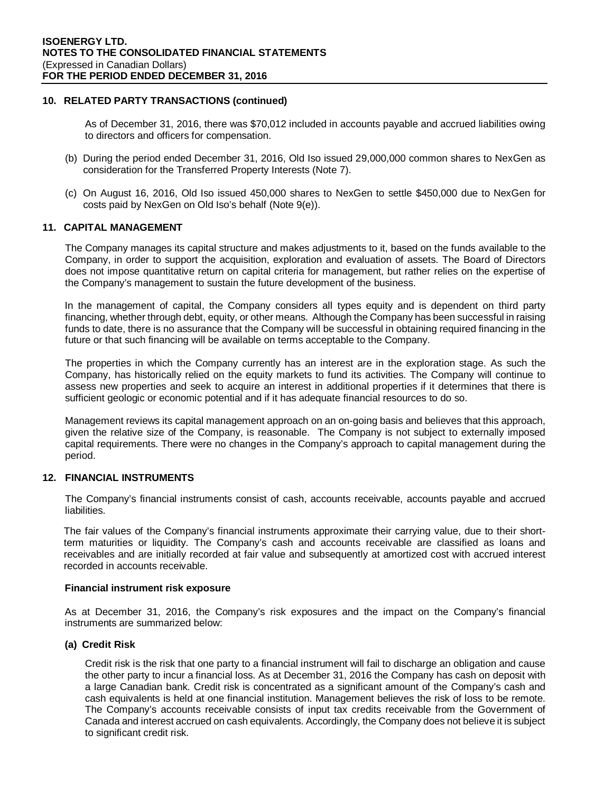## **10. RELATED PARTY TRANSACTIONS (continued)**

As of December 31, 2016, there was \$70,012 included in accounts payable and accrued liabilities owing to directors and officers for compensation.

- (b) During the period ended December 31, 2016, Old Iso issued 29,000,000 common shares to NexGen as consideration for the Transferred Property Interests (Note 7).
- (c) On August 16, 2016, Old Iso issued 450,000 shares to NexGen to settle \$450,000 due to NexGen for costs paid by NexGen on Old Iso's behalf (Note 9(e)).

# **11. CAPITAL MANAGEMENT**

The Company manages its capital structure and makes adjustments to it, based on the funds available to the Company, in order to support the acquisition, exploration and evaluation of assets. The Board of Directors does not impose quantitative return on capital criteria for management, but rather relies on the expertise of the Company's management to sustain the future development of the business.

 In the management of capital, the Company considers all types equity and is dependent on third party financing, whether through debt, equity, or other means. Although the Company has been successful in raising funds to date, there is no assurance that the Company will be successful in obtaining required financing in the future or that such financing will be available on terms acceptable to the Company.

The properties in which the Company currently has an interest are in the exploration stage. As such the Company, has historically relied on the equity markets to fund its activities. The Company will continue to assess new properties and seek to acquire an interest in additional properties if it determines that there is sufficient geologic or economic potential and if it has adequate financial resources to do so.

Management reviews its capital management approach on an on-going basis and believes that this approach, given the relative size of the Company, is reasonable. The Company is not subject to externally imposed capital requirements. There were no changes in the Company's approach to capital management during the period.

## **12. FINANCIAL INSTRUMENTS**

The Company's financial instruments consist of cash, accounts receivable, accounts payable and accrued **liabilities** 

The fair values of the Company's financial instruments approximate their carrying value, due to their shortterm maturities or liquidity. The Company's cash and accounts receivable are classified as loans and receivables and are initially recorded at fair value and subsequently at amortized cost with accrued interest recorded in accounts receivable.

## **Financial instrument risk exposure**

As at December 31, 2016, the Company's risk exposures and the impact on the Company's financial instruments are summarized below:

# **(a) Credit Risk**

Credit risk is the risk that one party to a financial instrument will fail to discharge an obligation and cause the other party to incur a financial loss. As at December 31, 2016 the Company has cash on deposit with a large Canadian bank. Credit risk is concentrated as a significant amount of the Company's cash and cash equivalents is held at one financial institution. Management believes the risk of loss to be remote. The Company's accounts receivable consists of input tax credits receivable from the Government of Canada and interest accrued on cash equivalents. Accordingly, the Company does not believe it is subject to significant credit risk.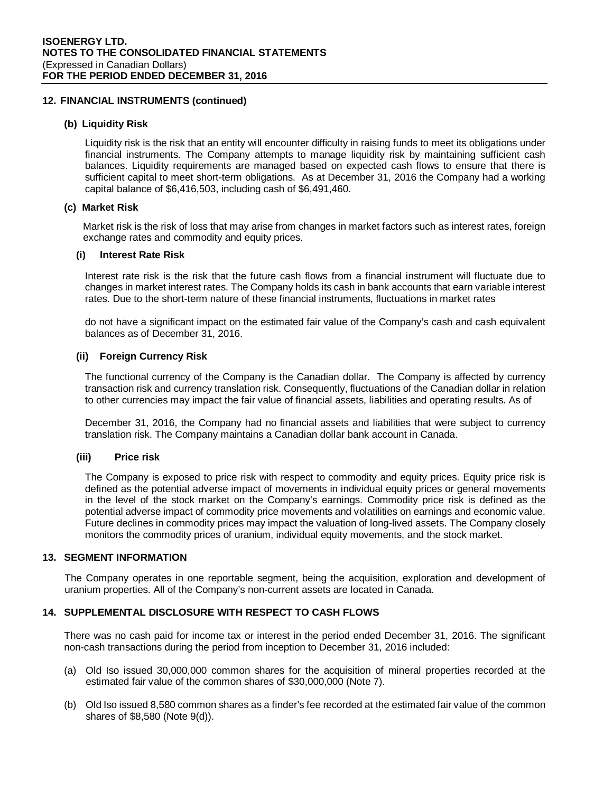## **12. FINANCIAL INSTRUMENTS (continued)**

#### **(b) Liquidity Risk**

Liquidity risk is the risk that an entity will encounter difficulty in raising funds to meet its obligations under financial instruments. The Company attempts to manage liquidity risk by maintaining sufficient cash balances. Liquidity requirements are managed based on expected cash flows to ensure that there is sufficient capital to meet short-term obligations. As at December 31, 2016 the Company had a working capital balance of \$6,416,503, including cash of \$6,491,460.

#### **(c) Market Risk**

 Market risk is the risk of loss that may arise from changes in market factors such as interest rates, foreign exchange rates and commodity and equity prices.

#### **(i) Interest Rate Risk**

Interest rate risk is the risk that the future cash flows from a financial instrument will fluctuate due to changes in market interest rates. The Company holds its cash in bank accounts that earn variable interest rates. Due to the short-term nature of these financial instruments, fluctuations in market rates

do not have a significant impact on the estimated fair value of the Company's cash and cash equivalent balances as of December 31, 2016.

#### **(ii) Foreign Currency Risk**

The functional currency of the Company is the Canadian dollar. The Company is affected by currency transaction risk and currency translation risk. Consequently, fluctuations of the Canadian dollar in relation to other currencies may impact the fair value of financial assets, liabilities and operating results. As of

December 31, 2016, the Company had no financial assets and liabilities that were subject to currency translation risk. The Company maintains a Canadian dollar bank account in Canada.

## **(iii) Price risk**

The Company is exposed to price risk with respect to commodity and equity prices. Equity price risk is defined as the potential adverse impact of movements in individual equity prices or general movements in the level of the stock market on the Company's earnings. Commodity price risk is defined as the potential adverse impact of commodity price movements and volatilities on earnings and economic value. Future declines in commodity prices may impact the valuation of long-lived assets. The Company closely monitors the commodity prices of uranium, individual equity movements, and the stock market.

## **13. SEGMENT INFORMATION**

The Company operates in one reportable segment, being the acquisition, exploration and development of uranium properties. All of the Company's non-current assets are located in Canada.

# **14. SUPPLEMENTAL DISCLOSURE WITH RESPECT TO CASH FLOWS**

There was no cash paid for income tax or interest in the period ended December 31, 2016. The significant non-cash transactions during the period from inception to December 31, 2016 included:

- (a) Old Iso issued 30,000,000 common shares for the acquisition of mineral properties recorded at the estimated fair value of the common shares of \$30,000,000 (Note 7).
- (b) Old Iso issued 8,580 common shares as a finder's fee recorded at the estimated fair value of the common shares of \$8,580 (Note 9(d)).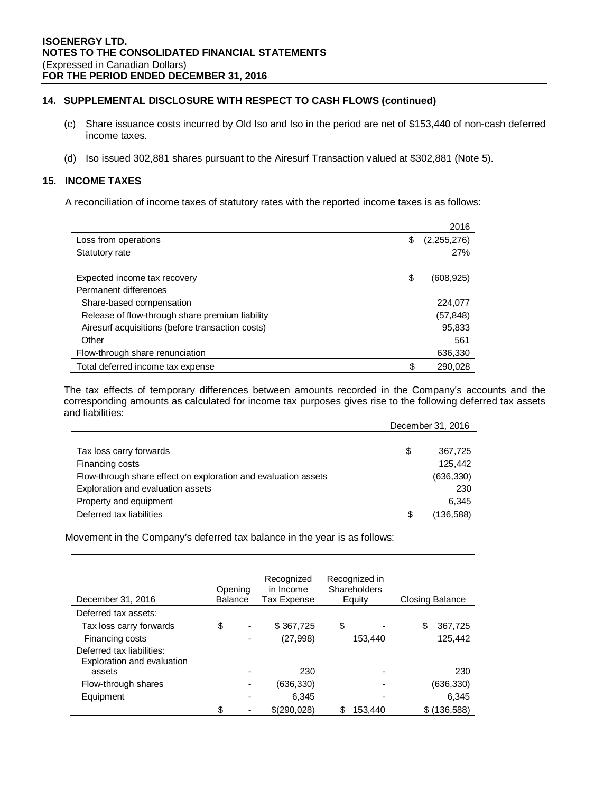# **14. SUPPLEMENTAL DISCLOSURE WITH RESPECT TO CASH FLOWS (continued)**

- (c) Share issuance costs incurred by Old Iso and Iso in the period are net of \$153,440 of non-cash deferred income taxes.
- (d) Iso issued 302,881 shares pursuant to the Airesurf Transaction valued at \$302,881 (Note 5).

# **15. INCOME TAXES**

A reconciliation of income taxes of statutory rates with the reported income taxes is as follows:

|                                                  | 2016              |
|--------------------------------------------------|-------------------|
| Loss from operations                             | \$<br>(2,255,276) |
| Statutory rate                                   | 27%               |
|                                                  |                   |
| Expected income tax recovery                     | \$<br>(608, 925)  |
| Permanent differences                            |                   |
| Share-based compensation                         | 224,077           |
| Release of flow-through share premium liability  | (57, 848)         |
| Airesurf acquisitions (before transaction costs) | 95,833            |
| Other                                            | 561               |
| Flow-through share renunciation                  | 636,330           |
| Total deferred income tax expense                | \$<br>290,028     |

The tax effects of temporary differences between amounts recorded in the Company's accounts and the corresponding amounts as calculated for income tax purposes gives rise to the following deferred tax assets and liabilities:

|                                                                | December 31, 2016 |            |  |
|----------------------------------------------------------------|-------------------|------------|--|
|                                                                |                   |            |  |
| Tax loss carry forwards                                        | \$                | 367,725    |  |
| Financing costs                                                |                   | 125.442    |  |
| Flow-through share effect on exploration and evaluation assets |                   | (636, 330) |  |
| Exploration and evaluation assets                              |                   | 230        |  |
| Property and equipment                                         |                   | 6,345      |  |
| Deferred tax liabilities                                       |                   | (136,588)  |  |
|                                                                |                   |            |  |

Movement in the Company's deferred tax balance in the year is as follows:

| December 31, 2016                                       | Opening<br>Balance | Recognized<br>in Income<br>Tax Expense |    | Recognized in<br>Shareholders<br>Equity |    | <b>Closing Balance</b> |
|---------------------------------------------------------|--------------------|----------------------------------------|----|-----------------------------------------|----|------------------------|
| Deferred tax assets:                                    |                    |                                        |    |                                         |    |                        |
| Tax loss carry forwards                                 | \$                 | \$367,725                              | \$ |                                         | \$ | 367,725                |
| Financing costs                                         |                    | (27, 998)                              |    | 153,440                                 |    | 125,442                |
| Deferred tax liabilities:<br>Exploration and evaluation |                    |                                        |    |                                         |    |                        |
| assets                                                  |                    | 230                                    |    |                                         |    | 230                    |
| Flow-through shares                                     |                    | (636, 330)                             |    |                                         |    | (636, 330)             |
| Equipment                                               |                    | 6,345                                  |    |                                         |    | 6,345                  |
|                                                         |                    | \$(290,028)                            | S  | 153,440                                 | S. | (136,588)              |